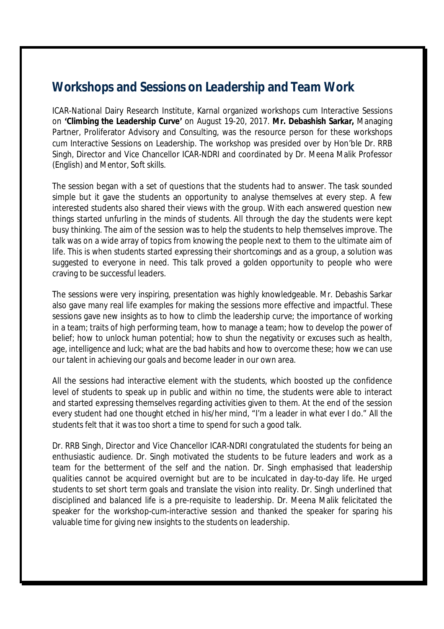## **Workshops and Sessions on Leadership and Team Work**

ICAR-National Dairy Research Institute, Karnal organized workshops cum Interactive Sessions on **'Climbing the Leadership Curve'** on August 19-20, 2017. **Mr. Debashish Sarkar,** Managing Partner, Proliferator Advisory and Consulting, was the resource person for these workshops cum Interactive Sessions on Leadership. The workshop was presided over by Hon'ble Dr. RRB Singh, Director and Vice Chancellor ICAR-NDRI and coordinated by Dr. Meena Malik Professor (English) and Mentor, Soft skills.

The session began with a set of questions that the students had to answer. The task sounded simple but it gave the students an opportunity to analyse themselves at every step. A few interested students also shared their views with the group. With each answered question new things started unfurling in the minds of students. All through the day the students were kept busy thinking. The aim of the session was to help the students to help themselves improve. The talk was on a wide array of topics from knowing the people next to them to the ultimate aim of life. This is when students started expressing their shortcomings and as a group, a solution was suggested to everyone in need. This talk proved a golden opportunity to people who were craving to be successful leaders.

The sessions were very inspiring, presentation was highly knowledgeable. Mr. Debashis Sarkar also gave many real life examples for making the sessions more effective and impactful. These sessions gave new insights as to how to climb the leadership curve; the importance of working in a team; traits of high performing team, how to manage a team; how to develop the power of belief; how to unlock human potential; how to shun the negativity or excuses such as health, age, intelligence and luck; what are the bad habits and how to overcome these; how we can use our talent in achieving our goals and become leader in our own area.

All the sessions had interactive element with the students, which boosted up the confidence level of students to speak up in public and within no time, the students were able to interact and started expressing themselves regarding activities given to them. At the end of the session every student had one thought etched in his/her mind, "I'm a leader in what ever I do." All the students felt that it was too short a time to spend for such a good talk.

Dr. RRB Singh, Director and Vice Chancellor ICAR-NDRI congratulated the students for being an enthusiastic audience. Dr. Singh motivated the students to be future leaders and work as a team for the betterment of the self and the nation. Dr. Singh emphasised that leadership qualities cannot be acquired overnight but are to be inculcated in day-to-day life. He urged students to set short term goals and translate the vision into reality. Dr. Singh underlined that disciplined and balanced life is a pre-requisite to leadership. Dr. Meena Malik felicitated the speaker for the workshop-cum-interactive session and thanked the speaker for sparing his valuable time for giving new insights to the students on leadership.